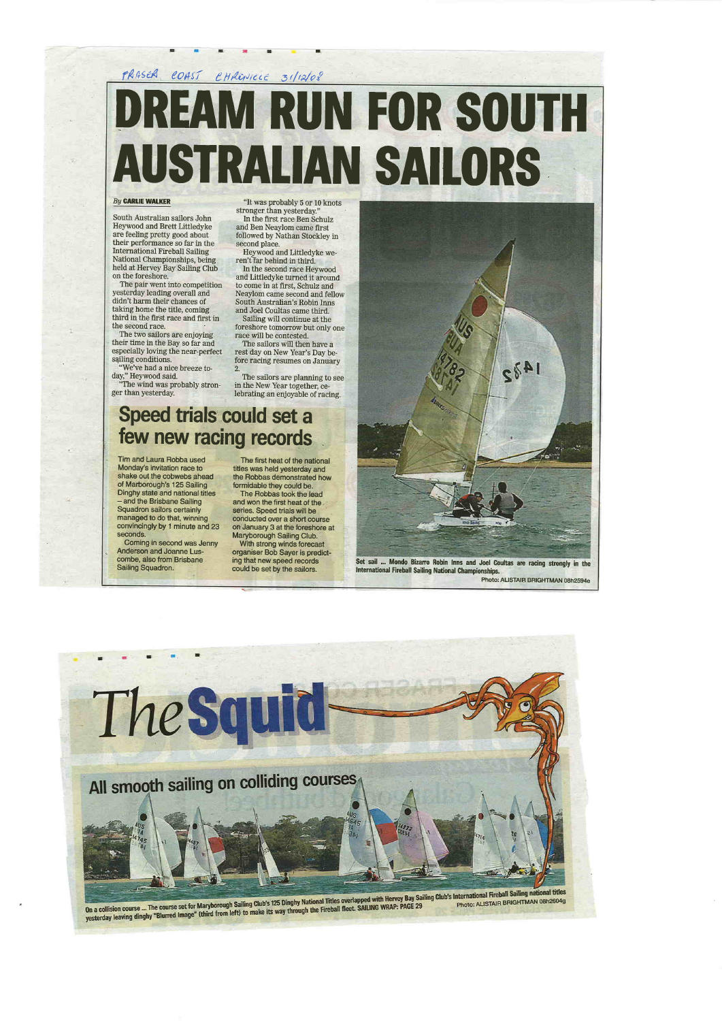### FRASER COAST CHRENICLE 31/12/08 DREAM RUN FOR SOUTH AUSTRATIAN SAITORS

#### **By CARLIE WALKER**

South Australian sailors John Heywood and Brett Littledyke are feeling pretty good about their performance so far in the International Fireball Sailing National Championships, being held at Hervey Bay Sailing Club on the foreshore.

The two sailors are enjoying their time in the Bay so far and especially loving the near-perfect sailing conditions.

The pair went into competition yesterday leading overall and didn't harm their chances of taking home the title, coming third in the fir'st race and first in the second race.

second place. Heywood and Littledyke weren't far behind in third.

2. The sailors are planning to see in the New Year together, celebrating an enjoyable of racing.

### Speed trials could set a few new racing records

"We've had a nice breeze today," Heywood said. "The wind was probably stron-

ger than yesterday.

"It was probably 5 or 10 knots stronger than yesterday." In the first race Ben Schulz and Ben Neaylom came first followed by Nathan Stockley in

In the second race Heywood and Littledyke turned it around to come in at first, Schulz and Neaylom came second and fellow South Australian's Robin Inns and Joel Coultas came third. Saiting will continue at the foreshore tomorrow but only one

With strong winds forecas organiser Bob Sayer is predicting that new speed records could be set by the sailors.



Set sail ... Mondo Bizarro Robin Inns and Joel Coultas are racing strongly in the lnternational Fireball Saiting National Ghampionships. Photo: ALISTAIR BRIGHTMAN 08h2594e

race will be contested. The sailors will then have a rest day on New Year's Day before racing resumes on January

Tim and Laura Robba used Monday's invitation race to shake out the cobwebs ahead of Marborough's 125 Sailing Dinghy state and national titles - and the Brisbane Sailing Squadron sailors certainly managed to do that, winning convincingly by 1 minute and 23 seconds.

Coming in.second was Jenny Anderson and Joanne Luscombe, also from Brisbane Sailing Squadron.

The first heat of the national titles was held yesterdäy and the Robbas demonstrated how

formidable they could be. The Robbas took the lead and won the first heat of the series. Speed trials will be conducted over a short course on January 3 at the foreshore at Maryborough Sailing Club.

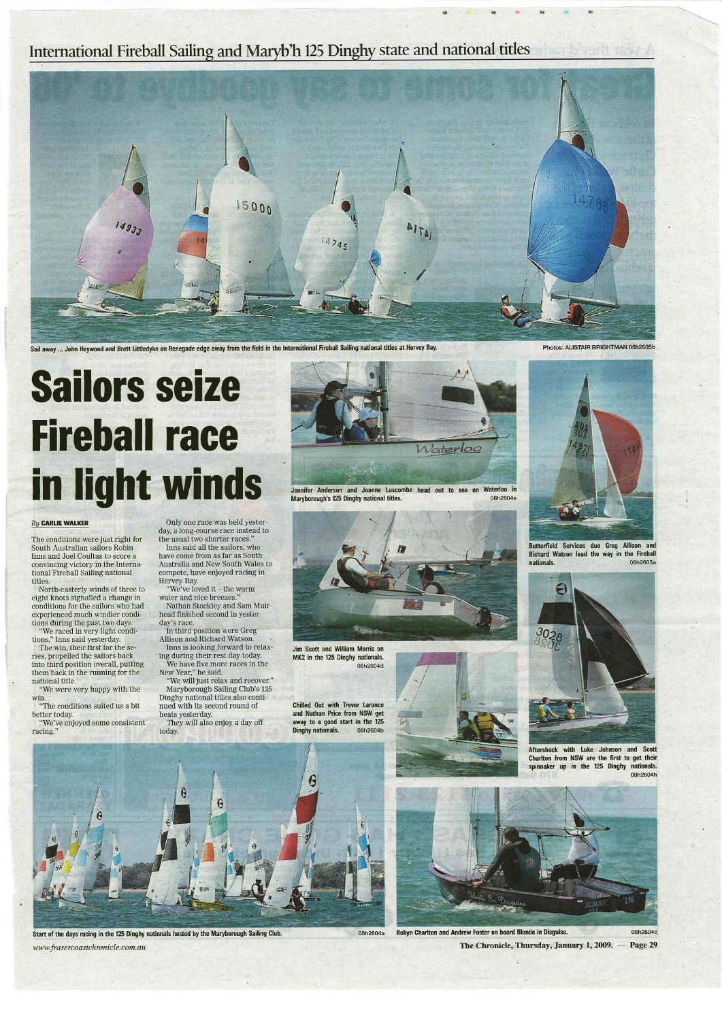





Jim Scott and William Morris on MK2 in the 125 Dinghy nationals. 08h2604d

Chilled Out with Trevor Larance and Nathan Price from NSW get away to a good start in the 125 Dinghy nationals. 08h2604b

Jennifer Anderson and Joanne Luscombe head out to sea on Waterloo in Maryborough's 125 Dinghy national titles. 08h2604e

#### By **CARLIE WALKER**

The conditions were just right for South Australian sailors Robin Inns and Joel Coultas to score a convincing victory in the International Fireball Sailing national titles



Butterfield Services duo Greg Allison and Richard Watson lead the way in the Fireball nationals. 08h2605a



Aftershock with luke Johnson and Scott Charlton from NSW are the first to get their spinnaker up in the 125 Dinghy nationals.



Sail away ... John Heywood and Brett littledyke on Renegade edge away from the field in the lnternational Fireball Sailing national titles at Hervey Bay.

Photos: ALISTAIR BRIGHTMAN 08h2605b

### **Sailors seize** Fireball race in light winds

# <u>Naterloo</u>

08h2604a Robyn Charlton and Andrew Foster on board Blonde in Disguise. The Chronicle, Thursday, January 1, 2009. — Page 29 08h2604c

"We were very happy with the win.



 $r_{\rm e}$ 

Start of the days racing in the 125 Dinghy nationals hosted by the Maryborough Sailing Club. www.frasercoastchronicle.com.au

North-easterly winds of three to eight knots signalled a change in conditions for the sailors who had experienced much windier conditions during the past two days.

"We raced in very light condi tions," Inns said yesterday.

The win, their first for the series, propelled the sailors back into third position overall, putting them back in the running for the national title.

"The conditions suited us a bit better today.

"We've enjoyed some consistent racing."

Only one race was held yesterday, a long-course race instead to the usual two shorter races."

Inns said all the sailors, who have come from as far as South Australia and New South Wales to compete, have enjoyed racing in Hervey Bay.

"We've loved it - the warm water and nice breezes.'

Nathan Stockley and Sam Muirhead finished second in yesterday's race.

In third position were Greg Allison and Richard Watson.

Inns is looking forward to relaxing during their rest day today.

We have five more races in the New Year," he said.

"We will just relax and recover." Maryborough Sailing Club's 125 Dinghy national titles also conti nued with its second round of heats yesterday.

They will also enjoy a day off today.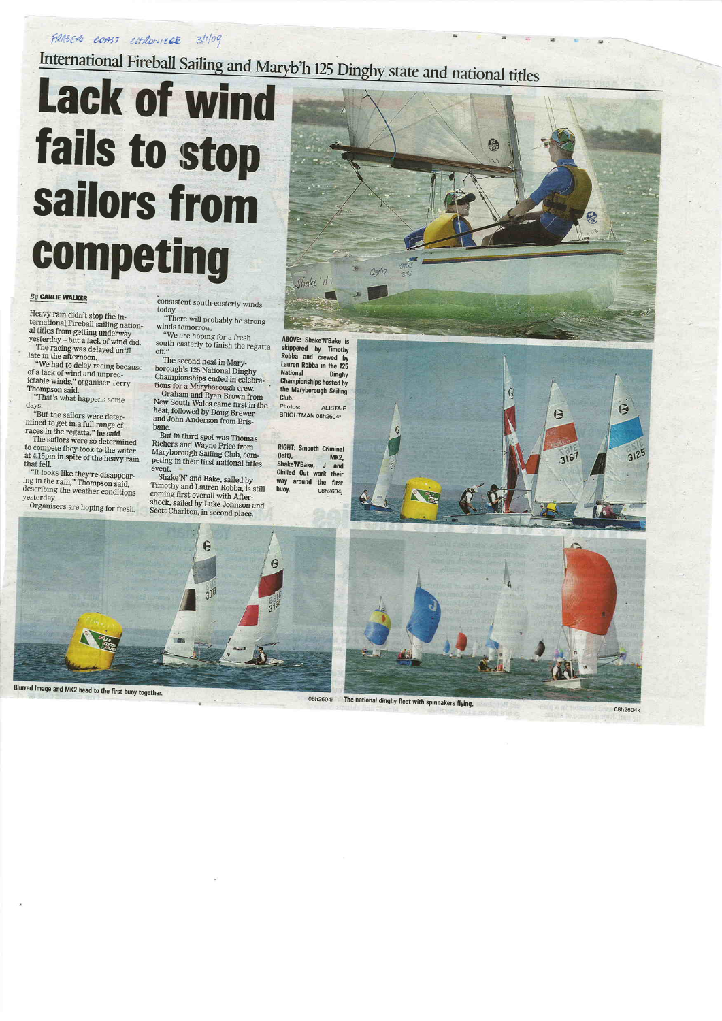FRASER COAST extensive 3/1/09

International Fireball Sailing and Maryb'h 125 Dinghy state and national titles

### **Lack of wind** fails to stop sailors from competing

### **By CARLIE WALKER**

Heavy rain didn't stop the International Fireball sailing national titles from getting underway yesterday - but a lack of wind did.

The racing was delayed until late in the afternoon. "We had to delay racing because

of a lack of wind and unpredictable winds," organiser Terry Thompson said.

"That's what happens some days.

"But the sailors were deter-<br>mined to get in a full range of<br>races in the regatta," he said.

The sailors were so determined to compete they took to the water at 4.15pm in spite of the heavy rain that fell. "It looks like they're disappearing in the rain," Thompson said,

describing the weather conditions yesterday.

Organisers are hoping for fresh,

consistent south-easterly winds today.

"There will probably be strong winds tomorrow. "We are hoping for a fresh

south-easterly to finish the regatta off."

The second heat in Mary-<br>borough's 125 National Dinghy Championships ended in celebrations for a Maryborough crew.

Graham and Ryan Brown from New South Wales came first in the heat, followed by Doug Brewer and John Anderson from Brisbane.

But in third spot was Thomas<br>Richers and Wayne Price from Maryborough Sailing Club, competing in their first national titles event.

Shake'N' and Bake, sailed by Timothy and Lauren Robba, is still coming first overall with Aftershock, sailed by Luke Johnson and Scott Charlton, in second place.



skippered by Timothy Robba and crewed by Lauren Robba in the 125 **National Dinghy Championships hosted by** the Maryborough Sailing Club.

Photos: **ALISTAIR** BRIGHTMAN 08h2604f

#### **RIGHT: Smooth Criminal** (left), **MK2.** Shake'N'Bake, J and Chilled Out work their way around the first buoy. 08h2604j







The national dinghy fleet with spinnakers flying.